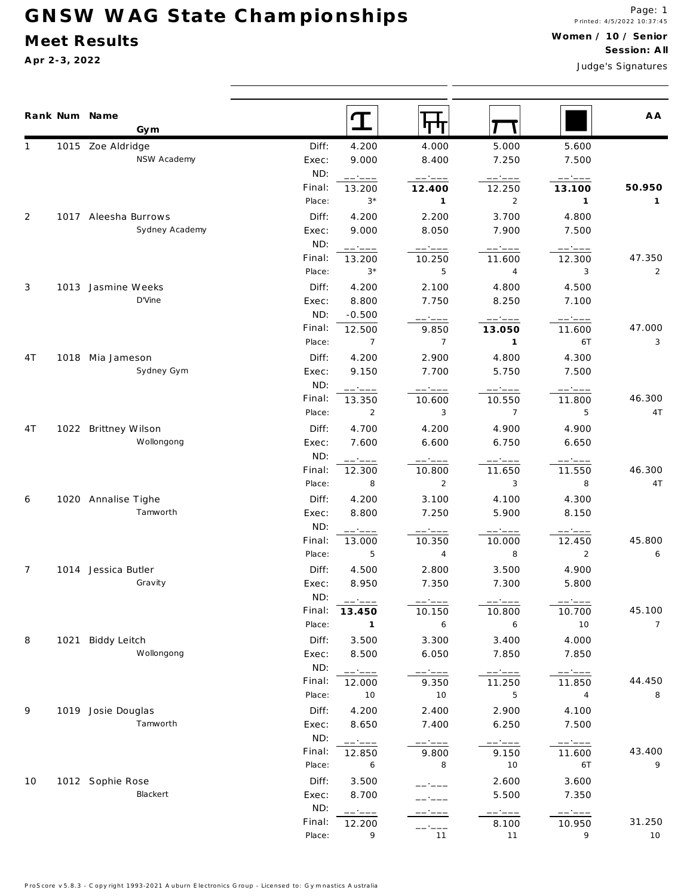## **G N S W W A G S ta te C h a m p io n sh ip s**

## **M eet Results**

**A pr 2-3, 2022**

**W ome n / 10 / Se nior Se ssion: A ll**

Judge's S ignatures

|                | Rank Num Name<br>Gym |                  |                                                                      | पाग                                                     |                                                         |                                                                                                                                                                                                                                                                                                                                                                                                                                                                                              | A A            |
|----------------|----------------------|------------------|----------------------------------------------------------------------|---------------------------------------------------------|---------------------------------------------------------|----------------------------------------------------------------------------------------------------------------------------------------------------------------------------------------------------------------------------------------------------------------------------------------------------------------------------------------------------------------------------------------------------------------------------------------------------------------------------------------------|----------------|
|                | 1015 Zoe Aldridge    | Diff:            | 4.200                                                                | 4.000                                                   | 5.000                                                   | 5.600                                                                                                                                                                                                                                                                                                                                                                                                                                                                                        |                |
|                | NSW Academy          | Exec:            | 9.000                                                                | 8.400                                                   | 7.250                                                   | 7.500                                                                                                                                                                                                                                                                                                                                                                                                                                                                                        |                |
|                |                      | ND:              | ------                                                               | $\qquad \qquad - - - - -$                               | $--- - - - -$                                           | $\qquad \qquad - - - - -$                                                                                                                                                                                                                                                                                                                                                                                                                                                                    |                |
|                |                      | Final:           | 13.200                                                               | 12.400                                                  | 12.250                                                  | 13.100                                                                                                                                                                                                                                                                                                                                                                                                                                                                                       | 50.950         |
|                |                      | Place:           | $3*$                                                                 | $\overline{1}$                                          | 2                                                       | $\mathbf{1}$                                                                                                                                                                                                                                                                                                                                                                                                                                                                                 | 1              |
| 2              | 1017 Aleesha Burrows | Diff:            | 4.200                                                                | 2.200                                                   | 3.700                                                   | 4.800                                                                                                                                                                                                                                                                                                                                                                                                                                                                                        |                |
|                | Sydney Academy       | Exec:            | 9.000                                                                | 8.050                                                   | 7.900                                                   | 7.500                                                                                                                                                                                                                                                                                                                                                                                                                                                                                        |                |
|                |                      | ND:              | ------                                                               | $\begin{tabular}{cc} - & - & - \\ \hline \end{tabular}$ | $\begin{tabular}{cc} - & - & - \\ \hline \end{tabular}$ | $\begin{tabular}{ll} \multicolumn{2}{c} {\textbf{1}} & \multicolumn{2}{c} {\textbf{2}} & \multicolumn{2}{c} {\textbf{3}} & \multicolumn{2}{c} {\textbf{4}} & \multicolumn{2}{c} {\textbf{5}} & \multicolumn{2}{c} {\textbf{6}} & \multicolumn{2}{c} {\textbf{7}} & \multicolumn{2}{c} {\textbf{8}} & \multicolumn{2}{c} {\textbf{9}} & \multicolumn{2}{c} {\textbf{1}} & \multicolumn{2}{c} {\textbf{1}} & \multicolumn{2}{c} {\textbf{1}} & \multicolumn{2}{c} {\textbf{1}} & \multicolumn$ |                |
|                |                      | Final:           | 13.200                                                               | 10.250                                                  | 11.600                                                  | 12.300                                                                                                                                                                                                                                                                                                                                                                                                                                                                                       | 47.350         |
|                |                      | Place:           | $3*$                                                                 | 5                                                       | 4                                                       | 3                                                                                                                                                                                                                                                                                                                                                                                                                                                                                            | $\overline{2}$ |
| 3              | 1013 Jasmine Weeks   | Diff:            | 4.200                                                                | 2.100                                                   | 4.800                                                   | 4.500                                                                                                                                                                                                                                                                                                                                                                                                                                                                                        |                |
|                | D'Vine               | Exec:            | 8.800                                                                | 7.750                                                   | 8.250                                                   | 7.100                                                                                                                                                                                                                                                                                                                                                                                                                                                                                        |                |
|                |                      | ND:              | $-0.500$                                                             | — ———                                                   |                                                         | ------                                                                                                                                                                                                                                                                                                                                                                                                                                                                                       |                |
|                |                      | Final:           | 12.500                                                               | 9.850                                                   | 13.050                                                  | 11.600                                                                                                                                                                                                                                                                                                                                                                                                                                                                                       | 47.000         |
|                |                      | Place:           | $\overline{7}$                                                       | $\overline{7}$                                          | $\mathbf{1}$                                            | 6T                                                                                                                                                                                                                                                                                                                                                                                                                                                                                           | 3              |
| 4 T            | 1018 Mia Jameson     | Diff:            | 4.200                                                                | 2.900                                                   | 4.800                                                   | 4.300                                                                                                                                                                                                                                                                                                                                                                                                                                                                                        |                |
|                | Sydney Gym           | Exec:            | 9.150                                                                | 7.700                                                   | 5.750                                                   | 7.500                                                                                                                                                                                                                                                                                                                                                                                                                                                                                        |                |
|                |                      | ND:              | ------                                                               | ------                                                  | -----                                                   | -----                                                                                                                                                                                                                                                                                                                                                                                                                                                                                        |                |
|                |                      | Final:           | 13.350                                                               | 10.600                                                  | 10.550                                                  | 11.800                                                                                                                                                                                                                                                                                                                                                                                                                                                                                       | 46.300         |
|                |                      | Place:           | $\overline{2}$                                                       | 3                                                       | $7\overline{ }$                                         | 5                                                                                                                                                                                                                                                                                                                                                                                                                                                                                            | 4T             |
| 4 T            | 1022 Brittney Wilson | Diff:            | 4.700                                                                | 4.200                                                   | 4.900                                                   | 4.900                                                                                                                                                                                                                                                                                                                                                                                                                                                                                        |                |
|                | Wollongong           | Exec:            | 7.600                                                                | 6.600                                                   | 6.750                                                   | 6.650                                                                                                                                                                                                                                                                                                                                                                                                                                                                                        |                |
|                |                      | ND:              | ------                                                               | ------                                                  | ------                                                  | ------                                                                                                                                                                                                                                                                                                                                                                                                                                                                                       |                |
|                |                      | Final:           | 12.300                                                               | 10.800                                                  | 11.650                                                  | 11.550                                                                                                                                                                                                                                                                                                                                                                                                                                                                                       | 46.300         |
| 6              | 1020 Annalise Tighe  | Place:           | $\overline{\phantom{0}}$ 8                                           | 2                                                       | 3                                                       | 8                                                                                                                                                                                                                                                                                                                                                                                                                                                                                            | 4T             |
|                |                      | Diff:            | 4.200                                                                | 3.100                                                   | 4.100                                                   | 4.300                                                                                                                                                                                                                                                                                                                                                                                                                                                                                        |                |
|                | Tamworth             | Exec:            | 8.800                                                                | 7.250                                                   | 5.900                                                   | 8.150                                                                                                                                                                                                                                                                                                                                                                                                                                                                                        |                |
|                |                      | ND:              | $\begin{tabular}{cc} - & - & - \\ - & - & - \\ \hline \end{tabular}$ | $--- - - - -$                                           | $--- - - - -$                                           |                                                                                                                                                                                                                                                                                                                                                                                                                                                                                              |                |
|                |                      | Final:           | 13.000                                                               | 10.350                                                  | 10.000                                                  | 12.450                                                                                                                                                                                                                                                                                                                                                                                                                                                                                       | 45.800         |
|                |                      | Place:           | 5                                                                    | $\overline{4}$                                          | 8                                                       | 2                                                                                                                                                                                                                                                                                                                                                                                                                                                                                            | 6              |
| $\overline{7}$ | 1014 Jessica Butler  | Diff:            | 4.500                                                                | 2.800                                                   | 3.500                                                   | 4.900                                                                                                                                                                                                                                                                                                                                                                                                                                                                                        |                |
|                | Gravity              | Exec:            | 8.950                                                                | 7.350                                                   | 7.300                                                   | 5.800                                                                                                                                                                                                                                                                                                                                                                                                                                                                                        |                |
|                |                      | ND:              | ------                                                               | ------                                                  | ------                                                  | $\qquad \qquad - -$                                                                                                                                                                                                                                                                                                                                                                                                                                                                          |                |
|                |                      | Final:           | 13.450                                                               | 10.150                                                  | 10.800                                                  | 10.700                                                                                                                                                                                                                                                                                                                                                                                                                                                                                       | 45.100         |
|                |                      | Place:           | $\mathbf{1}$                                                         | 6                                                       | 6                                                       | 10                                                                                                                                                                                                                                                                                                                                                                                                                                                                                           | $\overline{7}$ |
| 8              | 1021 Biddy Leitch    | Diff:            | 3.500                                                                | 3.300                                                   | 3.400                                                   | 4.000                                                                                                                                                                                                                                                                                                                                                                                                                                                                                        |                |
|                | Wollongong           | Exec:            | 8.500                                                                | 6.050                                                   | 7.850                                                   | 7.850                                                                                                                                                                                                                                                                                                                                                                                                                                                                                        |                |
|                |                      | ND:              | ------                                                               | ------                                                  | $-- ---$                                                | ------                                                                                                                                                                                                                                                                                                                                                                                                                                                                                       |                |
|                |                      | Final:           | 12.000                                                               | 9.350                                                   | 11.250                                                  | 11.850                                                                                                                                                                                                                                                                                                                                                                                                                                                                                       | 44.450         |
|                |                      | Place:           | 10                                                                   | 10                                                      | 5                                                       | $\overline{4}$                                                                                                                                                                                                                                                                                                                                                                                                                                                                               | 8              |
| 9              | 1019 Josie Douglas   | Diff:            | 4.200                                                                | 2.400                                                   | 2.900                                                   | 4.100                                                                                                                                                                                                                                                                                                                                                                                                                                                                                        |                |
|                | Tamworth             | Exec:            | 8.650                                                                | 7.400                                                   | 6.250                                                   | 7.500                                                                                                                                                                                                                                                                                                                                                                                                                                                                                        |                |
|                |                      | ND:              | ------                                                               | ------                                                  | ------                                                  | $---:---$                                                                                                                                                                                                                                                                                                                                                                                                                                                                                    |                |
|                |                      | Final:<br>Place: | 12.850                                                               | 9.800<br>8                                              | 9.150                                                   | 11.600<br>6T                                                                                                                                                                                                                                                                                                                                                                                                                                                                                 | 43.400<br>9    |
| 10             |                      |                  | 6                                                                    |                                                         | 10                                                      |                                                                                                                                                                                                                                                                                                                                                                                                                                                                                              |                |
|                | 1012 Sophie Rose     | Diff:            | 3.500                                                                |                                                         | 2.600                                                   | 3.600                                                                                                                                                                                                                                                                                                                                                                                                                                                                                        |                |
|                | Blackert             | Exec:            | 8.700                                                                |                                                         | 5.500                                                   | 7.350                                                                                                                                                                                                                                                                                                                                                                                                                                                                                        |                |
|                |                      | ND:              | ------                                                               |                                                         |                                                         | $--- - - - -$                                                                                                                                                                                                                                                                                                                                                                                                                                                                                |                |
|                |                      | Final:<br>Place: | 12.200<br>9                                                          | $---$                                                   | 8.100                                                   | 10.950<br>9                                                                                                                                                                                                                                                                                                                                                                                                                                                                                  | 31.250<br>10   |
|                |                      |                  |                                                                      | 11                                                      | 11                                                      |                                                                                                                                                                                                                                                                                                                                                                                                                                                                                              |                |